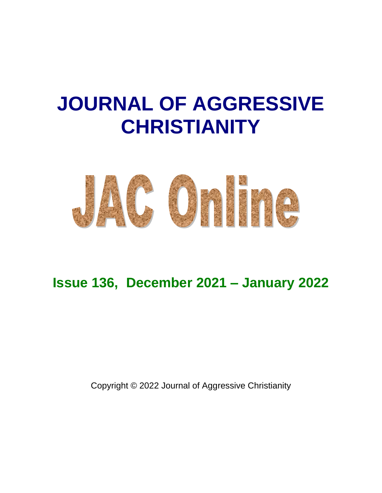# **JOURNAL OF AGGRESSIVE CHRISTIANITY**



# **Issue 136, December 2021 – January 2022**

Copyright © 2022 Journal of Aggressive Christianity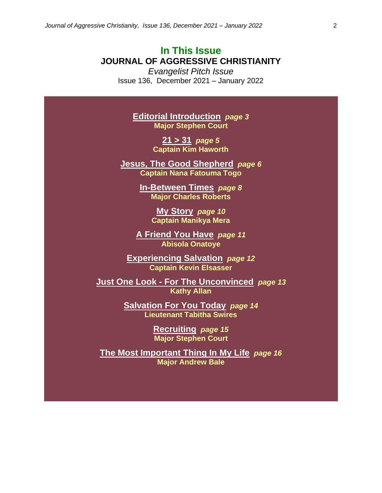# **In This Issue JOURNAL OF AGGRESSIVE CHRISTIANITY**

*Evangelist Pitch Issue* Issue 136, December 2021 – January 2022

> **Editorial Introduction** *page 3* **Major Stephen Court**

> > **21 > 31** *page 5* **Captain Kim Haworth**

**Jesus, The Good Shepherd** *page 6* **Captain Nana Fatouma Togo**

> **In-Between Times** *page 8* **Major Charles Roberts**

> > **My Story** *page 10* **Captain Manikya Mera**

**A Friend You Have** *page 11* **Abisola Onatoye**

**Experiencing Salvation** *page 12* **Captain Kevin Elsasser**

**Just One Look - For The Unconvinced** *page 13* **Kathy Allan**

> **Salvation For You Today** *page 14* **Lieutenant Tabitha Swires**

> > **Recruiting** *page 15* **Major Stephen Court**

**The Most Important Thing In My Life** *page 16* **Major Andrew Bale**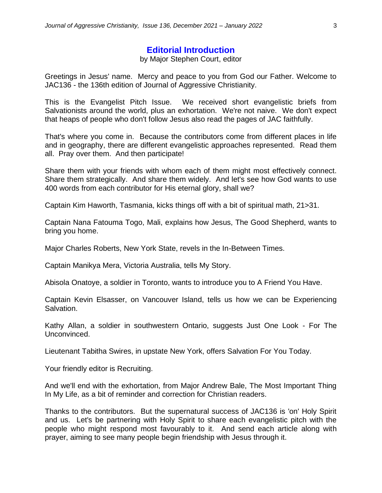#### **Editorial Introduction**

#### by Major Stephen Court, editor

Greetings in Jesus' name. Mercy and peace to you from God our Father. Welcome to JAC136 - the 136th edition of Journal of Aggressive Christianity.

This is the Evangelist Pitch Issue. We received short evangelistic briefs from Salvationists around the world, plus an exhortation. We're not naive. We don't expect that heaps of people who don't follow Jesus also read the pages of JAC faithfully.

That's where you come in. Because the contributors come from different places in life and in geography, there are different evangelistic approaches represented. Read them all. Pray over them. And then participate!

Share them with your friends with whom each of them might most effectively connect. Share them strategically. And share them widely. And let's see how God wants to use 400 words from each contributor for His eternal glory, shall we?

Captain Kim Haworth, Tasmania, kicks things off with a bit of spiritual math, 21>31.

Captain Nana Fatouma Togo, Mali, explains how Jesus, The Good Shepherd, wants to bring you home.

Major Charles Roberts, New York State, revels in the In-Between Times.

Captain Manikya Mera, Victoria Australia, tells My Story.

Abisola Onatoye, a soldier in Toronto, wants to introduce you to A Friend You Have.

Captain Kevin Elsasser, on Vancouver Island, tells us how we can be Experiencing Salvation.

Kathy Allan, a soldier in southwestern Ontario, suggests Just One Look - For The Unconvinced.

Lieutenant Tabitha Swires, in upstate New York, offers Salvation For You Today.

Your friendly editor is Recruiting.

And we'll end with the exhortation, from Major Andrew Bale, The Most Important Thing In My Life, as a bit of reminder and correction for Christian readers.

Thanks to the contributors. But the supernatural success of JAC136 is 'on' Holy Spirit and us. Let's be partnering with Holy Spirit to share each evangelistic pitch with the people who might respond most favourably to it. And send each article along with prayer, aiming to see many people begin friendship with Jesus through it.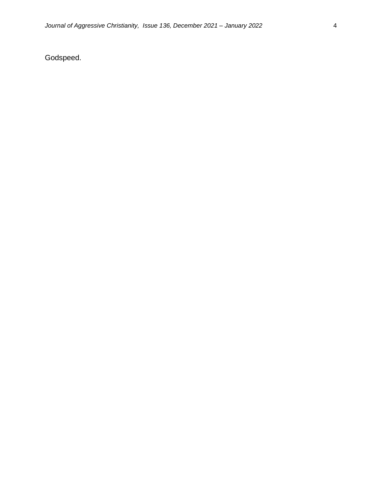Godspeed.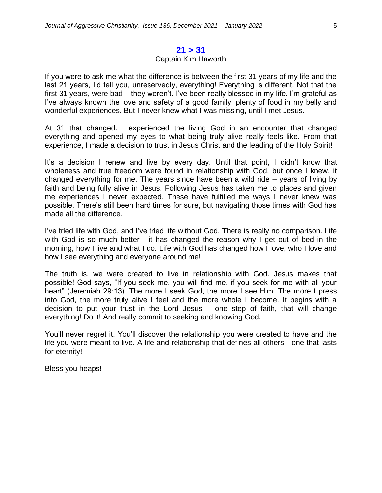#### **21 > 31**

#### Captain Kim Haworth

If you were to ask me what the difference is between the first 31 years of my life and the last 21 years, I'd tell you, unreservedly, everything! Everything is different. Not that the first 31 years, were bad – they weren't. I've been really blessed in my life. I'm grateful as I've always known the love and safety of a good family, plenty of food in my belly and wonderful experiences. But I never knew what I was missing, until I met Jesus.

At 31 that changed. I experienced the living God in an encounter that changed everything and opened my eyes to what being truly alive really feels like. From that experience, I made a decision to trust in Jesus Christ and the leading of the Holy Spirit!

It's a decision I renew and live by every day. Until that point, I didn't know that wholeness and true freedom were found in relationship with God, but once I knew, it changed everything for me. The years since have been a wild ride – years of living by faith and being fully alive in Jesus. Following Jesus has taken me to places and given me experiences I never expected. These have fulfilled me ways I never knew was possible. There's still been hard times for sure, but navigating those times with God has made all the difference.

I've tried life with God, and I've tried life without God. There is really no comparison. Life with God is so much better - it has changed the reason why I get out of bed in the morning, how I live and what I do. Life with God has changed how I love, who I love and how I see everything and everyone around me!

The truth is, we were created to live in relationship with God. Jesus makes that possible! God says, "If you seek me, you will find me, if you seek for me with all your heart" (Jeremiah 29:13). The more I seek God, the more I see Him. The more I press into God, the more truly alive I feel and the more whole I become. It begins with a decision to put your trust in the Lord Jesus – one step of faith, that will change everything! Do it! And really commit to seeking and knowing God.

You'll never regret it. You'll discover the relationship you were created to have and the life you were meant to live. A life and relationship that defines all others - one that lasts for eternity!

Bless you heaps!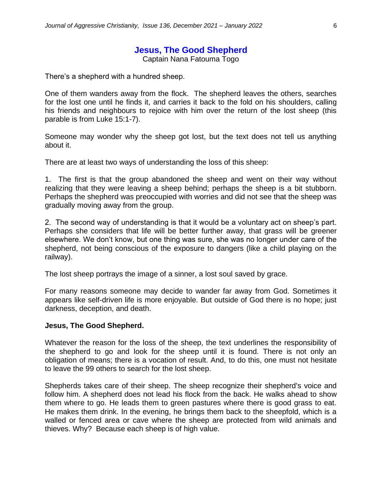# **Jesus, The Good Shepherd**

Captain Nana Fatouma Togo

There's a shepherd with a hundred sheep.

One of them wanders away from the flock. The shepherd leaves the others, searches for the lost one until he finds it, and carries it back to the fold on his shoulders, calling his friends and neighbours to rejoice with him over the return of the lost sheep (this parable is from Luke 15:1-7).

Someone may wonder why the sheep got lost, but the text does not tell us anything about it.

There are at least two ways of understanding the loss of this sheep:

1. The first is that the group abandoned the sheep and went on their way without realizing that they were leaving a sheep behind; perhaps the sheep is a bit stubborn. Perhaps the shepherd was preoccupied with worries and did not see that the sheep was gradually moving away from the group.

2. The second way of understanding is that it would be a voluntary act on sheep's part. Perhaps she considers that life will be better further away, that grass will be greener elsewhere. We don't know, but one thing was sure, she was no longer under care of the shepherd, not being conscious of the exposure to dangers (like a child playing on the railway).

The lost sheep portrays the image of a sinner, a lost soul saved by grace.

For many reasons someone may decide to wander far away from God. Sometimes it appears like self-driven life is more enjoyable. But outside of God there is no hope; just darkness, deception, and death.

#### **Jesus, The Good Shepherd.**

Whatever the reason for the loss of the sheep, the text underlines the responsibility of the shepherd to go and look for the sheep until it is found. There is not only an obligation of means; there is a vocation of result. And, to do this, one must not hesitate to leave the 99 others to search for the lost sheep.

Shepherds takes care of their sheep. The sheep recognize their shepherd's voice and follow him. A shepherd does not lead his flock from the back. He walks ahead to show them where to go. He leads them to green pastures where there is good grass to eat. He makes them drink. In the evening, he brings them back to the sheepfold, which is a walled or fenced area or cave where the sheep are protected from wild animals and thieves. Why? Because each sheep is of high value.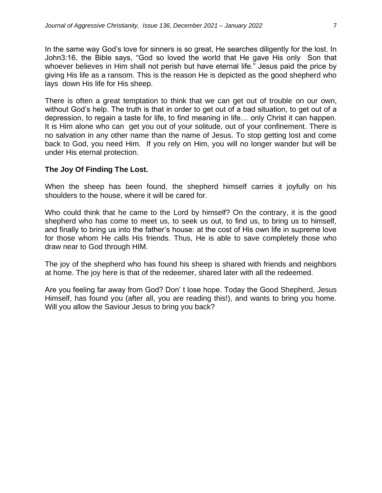In the same way God's love for sinners is so great, He searches diligently for the lost. In John3:16, the Bible says, "God so loved the world that He gave His only Son that whoever believes in Him shall not perish but have eternal life." Jesus paid the price by giving His life as a ransom. This is the reason He is depicted as the good shepherd who lays down His life for His sheep.

There is often a great temptation to think that we can get out of trouble on our own, without God's help. The truth is that in order to get out of a bad situation, to get out of a depression, to regain a taste for life, to find meaning in life… only Christ it can happen. It is Him alone who can get you out of your solitude, out of your confinement. There is no salvation in any other name than the name of Jesus. To stop getting lost and come back to God, you need Him. If you rely on Him, you will no longer wander but will be under His eternal protection.

#### **The Joy Of Finding The Lost.**

When the sheep has been found, the shepherd himself carries it joyfully on his shoulders to the house, where it will be cared for.

Who could think that he came to the Lord by himself? On the contrary, it is the good shepherd who has come to meet us, to seek us out, to find us, to bring us to himself, and finally to bring us into the father's house: at the cost of His own life in supreme love for those whom He calls His friends. Thus, He is able to save completely those who draw near to God through HIM.

The joy of the shepherd who has found his sheep is shared with friends and neighbors at home. The joy here is that of the redeemer, shared later with all the redeemed.

Are you feeling far away from God? Don' t lose hope. Today the Good Shepherd, Jesus Himself, has found you (after all, you are reading this!), and wants to bring you home. Will you allow the Saviour Jesus to bring you back?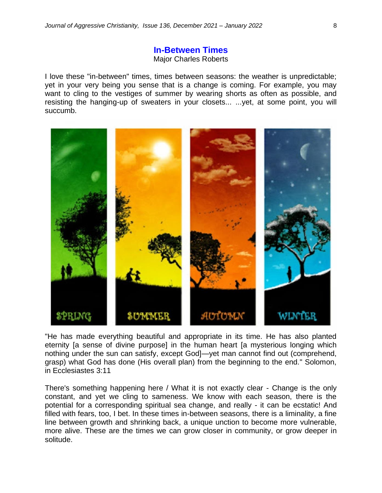#### **In-Between Times** Major Charles Roberts

I love these "in-between" times, times between seasons: the weather is unpredictable; yet in your very being you sense that is a change is coming. For example, you may want to cling to the vestiges of summer by wearing shorts as often as possible, and resisting the hanging-up of sweaters in your closets... ...yet, at some point, you will succumb.



"He has made everything beautiful and appropriate in its time. He has also planted eternity [a sense of divine purpose] in the human heart [a mysterious longing which nothing under the sun can satisfy, except God]—yet man cannot find out (comprehend, grasp) what God has done (His overall plan) from the beginning to the end." Solomon, in Ecclesiastes 3:11

There's something happening here / What it is not exactly clear - Change is the only constant, and yet we cling to sameness. We know with each season, there is the potential for a corresponding spiritual sea change, and really - it can be ecstatic! And filled with fears, too, I bet. In these times in-between seasons, there is a liminality, a fine line between growth and shrinking back, a unique unction to become more vulnerable, more alive. These are the times we can grow closer in community, or grow deeper in solitude.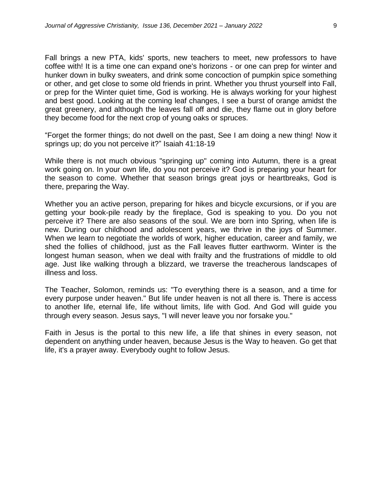Fall brings a new PTA, kids' sports, new teachers to meet, new professors to have coffee with! It is a time one can expand one's horizons - or one can prep for winter and hunker down in bulky sweaters, and drink some concoction of pumpkin spice something or other, and get close to some old friends in print. Whether you thrust yourself into Fall, or prep for the Winter quiet time, God is working. He is always working for your highest and best good. Looking at the coming leaf changes, I see a burst of orange amidst the great greenery, and although the leaves fall off and die, they flame out in glory before they become food for the next crop of young oaks or spruces.

"Forget the former things; do not dwell on the past, See I am doing a new thing! Now it springs up; do you not perceive it?" Isaiah 41:18-19

While there is not much obvious "springing up" coming into Autumn, there is a great work going on. In your own life, do you not perceive it? God is preparing your heart for the season to come. Whether that season brings great joys or heartbreaks, God is there, preparing the Way.

Whether you an active person, preparing for hikes and bicycle excursions, or if you are getting your book-pile ready by the fireplace, God is speaking to you. Do you not perceive it? There are also seasons of the soul. We are born into Spring, when life is new. During our childhood and adolescent years, we thrive in the joys of Summer. When we learn to negotiate the worlds of work, higher education, career and family, we shed the follies of childhood, just as the Fall leaves flutter earthworm. Winter is the longest human season, when we deal with frailty and the frustrations of middle to old age. Just like walking through a blizzard, we traverse the treacherous landscapes of illness and loss.

The Teacher, Solomon, reminds us: "To everything there is a season, and a time for every purpose under heaven." But life under heaven is not all there is. There is access to another life, eternal life, life without limits, life with God. And God will guide you through every season. Jesus says, "I will never leave you nor forsake you."

Faith in Jesus is the portal to this new life, a life that shines in every season, not dependent on anything under heaven, because Jesus is the Way to heaven. Go get that life, it's a prayer away. Everybody ought to follow Jesus.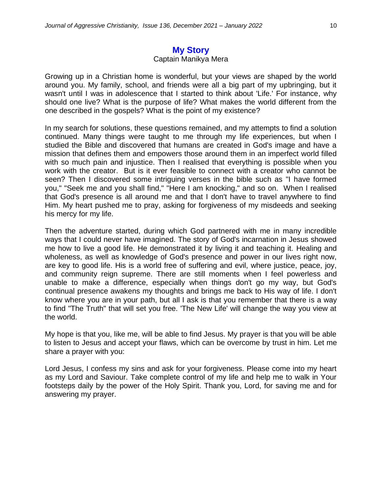## **My Story**

#### Captain Manikya Mera

Growing up in a Christian home is wonderful, but your views are shaped by the world around you. My family, school, and friends were all a big part of my upbringing, but it wasn't until I was in adolescence that I started to think about 'Life.' For instance, why should one live? What is the purpose of life? What makes the world different from the one described in the gospels? What is the point of my existence?

In my search for solutions, these questions remained, and my attempts to find a solution continued. Many things were taught to me through my life experiences, but when I studied the Bible and discovered that humans are created in God's image and have a mission that defines them and empowers those around them in an imperfect world filled with so much pain and injustice. Then I realised that everything is possible when you work with the creator. But is it ever feasible to connect with a creator who cannot be seen? Then I discovered some intriguing verses in the bible such as "I have formed you," "Seek me and you shall find," "Here I am knocking," and so on. When I realised that God's presence is all around me and that I don't have to travel anywhere to find Him. My heart pushed me to pray, asking for forgiveness of my misdeeds and seeking his mercy for my life.

Then the adventure started, during which God partnered with me in many incredible ways that I could never have imagined. The story of God's incarnation in Jesus showed me how to live a good life. He demonstrated it by living it and teaching it. Healing and wholeness, as well as knowledge of God's presence and power in our lives right now, are key to good life. His is a world free of suffering and evil, where justice, peace, joy, and community reign supreme. There are still moments when I feel powerless and unable to make a difference, especially when things don't go my way, but God's continual presence awakens my thoughts and brings me back to His way of life. I don't know where you are in your path, but all I ask is that you remember that there is a way to find "The Truth" that will set you free. 'The New Life' will change the way you view at the world.

My hope is that you, like me, will be able to find Jesus. My prayer is that you will be able to listen to Jesus and accept your flaws, which can be overcome by trust in him. Let me share a prayer with you:

Lord Jesus, I confess my sins and ask for your forgiveness. Please come into my heart as my Lord and Saviour. Take complete control of my life and help me to walk in Your footsteps daily by the power of the Holy Spirit. Thank you, Lord, for saving me and for answering my prayer.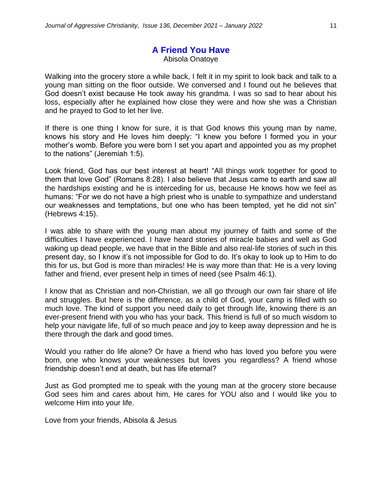# **A Friend You Have** Abisola Onatoye

Walking into the grocery store a while back, I felt it in my spirit to look back and talk to a young man sitting on the floor outside. We conversed and I found out he believes that God doesn't exist because He took away his grandma. I was so sad to hear about his loss, especially after he explained how close they were and how she was a Christian and he prayed to God to let her live.

If there is one thing I know for sure, it is that God knows this young man by name, knows his story and He loves him deeply: "I knew you before I formed you in your mother's womb. Before you were born I set you apart and appointed you as my prophet to the nations" (Jeremiah 1:5).

Look friend, God has our best interest at heart! "All things work together for good to them that love God" (Romans 8:28). I also believe that Jesus came to earth and saw all the hardships existing and he is interceding for us, because He knows how we feel as humans: "For we do not have a high priest who is unable to sympathize and understand our weaknesses and temptations, but one who has been tempted, yet he did not sin" (Hebrews 4:15).

I was able to share with the young man about my journey of faith and some of the difficulties I have experienced. I have heard stories of miracle babies and well as God waking up dead people, we have that in the Bible and also real-life stories of such in this present day, so I know it's not impossible for God to do. It's okay to look up to Him to do this for us, but God is more than miracles! He is way more than that: He is a very loving father and friend, ever present help in times of need (see Psalm 46:1).

I know that as Christian and non-Christian, we all go through our own fair share of life and struggles. But here is the difference, as a child of God, your camp is filled with so much love. The kind of support you need daily to get through life, knowing there is an ever-present friend with you who has your back. This friend is full of so much wisdom to help your navigate life, full of so much peace and joy to keep away depression and he is there through the dark and good times.

Would you rather do life alone? Or have a friend who has loved you before you were born, one who knows your weaknesses but loves you regardless? A friend whose friendship doesn't end at death, but has life eternal?

Just as God prompted me to speak with the young man at the grocery store because God sees him and cares about him, He cares for YOU also and I would like you to welcome Him into your life.

Love from your friends, Abisola & Jesus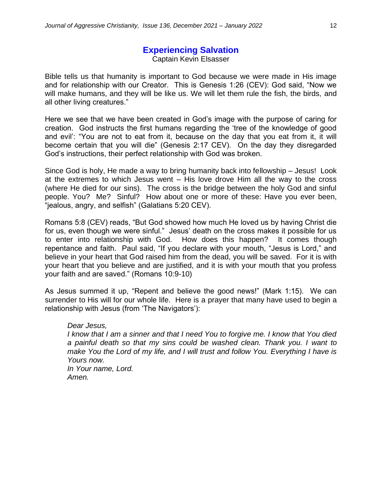# **Experiencing Salvation**

Captain Kevin Elsasser

Bible tells us that humanity is important to God because we were made in His image and for relationship with our Creator. This is Genesis 1:26 (CEV): God said, "Now we will make humans, and they will be like us. We will let them rule the fish, the birds, and all other living creatures."

Here we see that we have been created in God's image with the purpose of caring for creation. God instructs the first humans regarding the 'tree of the knowledge of good and evil': "You are not to eat from it, because on the day that you eat from it, it will become certain that you will die" (Genesis 2:17 CEV). On the day they disregarded God's instructions, their perfect relationship with God was broken.

Since God is holy, He made a way to bring humanity back into fellowship – Jesus! Look at the extremes to which Jesus went – His love drove Him all the way to the cross (where He died for our sins). The cross is the bridge between the holy God and sinful people. You? Me? Sinful? How about one or more of these: Have you ever been, "jealous, angry, and selfish" (Galatians 5:20 CEV).

Romans 5:8 (CEV) reads, "But God showed how much He loved us by having Christ die for us, even though we were sinful." Jesus' death on the cross makes it possible for us to enter into relationship with God. How does this happen? It comes though repentance and faith. Paul said, "If you declare with your mouth, "Jesus is Lord," and believe in your heart that God raised him from the dead, you will be saved. For it is with your heart that you believe and are justified, and it is with your mouth that you profess your faith and are saved." (Romans 10:9-10)

As Jesus summed it up, "Repent and believe the good news!" (Mark 1:15). We can surrender to His will for our whole life. Here is a prayer that many have used to begin a relationship with Jesus (from 'The Navigators'):

#### *Dear Jesus,*

*I know that I am a sinner and that I need You to forgive me. I know that You died a painful death so that my sins could be washed clean. Thank you. I want to make You the Lord of my life, and I will trust and follow You. Everything I have is Yours now. In Your name, Lord. Amen.*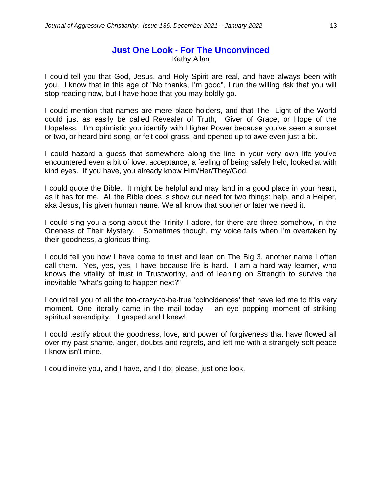Kathy Allan

I could tell you that God, Jesus, and Holy Spirit are real, and have always been with you. I know that in this age of "No thanks, I'm good", I run the willing risk that you will stop reading now, but I have hope that you may boldly go.

I could mention that names are mere place holders, and that The Light of the World could just as easily be called Revealer of Truth, Giver of Grace, or Hope of the Hopeless. I'm optimistic you identify with Higher Power because you've seen a sunset or two, or heard bird song, or felt cool grass, and opened up to awe even just a bit.

I could hazard a guess that somewhere along the line in your very own life you've encountered even a bit of love, acceptance, a feeling of being safely held, looked at with kind eyes. If you have, you already know Him/Her/They/God.

I could quote the Bible. It might be helpful and may land in a good place in your heart, as it has for me. All the Bible does is show our need for two things: help, and a Helper, aka Jesus, his given human name. We all know that sooner or later we need it.

I could sing you a song about the Trinity I adore, for there are three somehow, in the Oneness of Their Mystery. Sometimes though, my voice fails when I'm overtaken by their goodness, a glorious thing.

I could tell you how I have come to trust and lean on The Big 3, another name I often call them. Yes, yes, yes, I have because life is hard. I am a hard way learner, who knows the vitality of trust in Trustworthy, and of leaning on Strength to survive the inevitable "what's going to happen next?"

I could tell you of all the too-crazy-to-be-true 'coincidences' that have led me to this very moment. One literally came in the mail today – an eye popping moment of striking spiritual serendipity. I gasped and I knew!

I could testify about the goodness, love, and power of forgiveness that have flowed all over my past shame, anger, doubts and regrets, and left me with a strangely soft peace I know isn't mine.

I could invite you, and I have, and I do; please, just one look.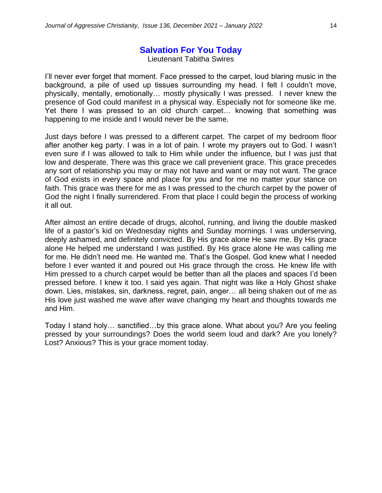# **Salvation For You Today**

Lieutenant Tabitha Swires

I'll never ever forget that moment. Face pressed to the carpet, loud blaring music in the background, a pile of used up tissues surrounding my head. I felt I couldn't move, physically, mentally, emotionally… mostly physically I was pressed. I never knew the presence of God could manifest in a physical way. Especially not for someone like me. Yet there I was pressed to an old church carpet… knowing that something was happening to me inside and I would never be the same.

Just days before I was pressed to a different carpet. The carpet of my bedroom floor after another keg party. I was in a lot of pain. I wrote my prayers out to God. I wasn't even sure if I was allowed to talk to Him while under the influence, but I was just that low and desperate. There was this grace we call prevenient grace. This grace precedes any sort of relationship you may or may not have and want or may not want. The grace of God exists in every space and place for you and for me no matter your stance on faith. This grace was there for me as I was pressed to the church carpet by the power of God the night I finally surrendered. From that place I could begin the process of working it all out.

After almost an entire decade of drugs, alcohol, running, and living the double masked life of a pastor's kid on Wednesday nights and Sunday mornings. I was underserving, deeply ashamed, and definitely convicted. By His grace alone He saw me. By His grace alone He helped me understand I was justified. By His grace alone He was calling me for me. He didn't need me. He wanted me. That's the Gospel. God knew what I needed before I ever wanted it and poured out His grace through the cross. He knew life with Him pressed to a church carpet would be better than all the places and spaces I'd been pressed before. I knew it too. I said yes again. That night was like a Holy Ghost shake down. Lies, mistakes, sin, darkness, regret, pain, anger… all being shaken out of me as His love just washed me wave after wave changing my heart and thoughts towards me and Him.

Today I stand holy… sanctified…by this grace alone. What about you? Are you feeling pressed by your surroundings? Does the world seem loud and dark? Are you lonely? Lost? Anxious? This is your grace moment today.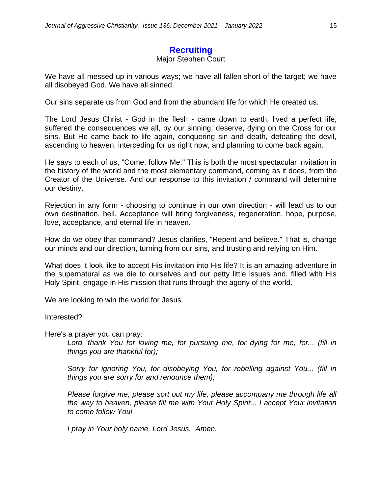# **Recruiting**

#### Major Stephen Court

We have all messed up in various ways; we have all fallen short of the target; we have all disobeyed God. We have all sinned.

Our sins separate us from God and from the abundant life for which He created us.

The Lord Jesus Christ - God in the flesh - came down to earth, lived a perfect life, suffered the consequences we all, by our sinning, deserve, dying on the Cross for our sins. But He came back to life again, conquering sin and death, defeating the devil, ascending to heaven, interceding for us right now, and planning to come back again.

He says to each of us, "Come, follow Me." This is both the most spectacular invitation in the history of the world and the most elementary command, coming as it does, from the Creator of the Universe. And our response to this invitation / command will determine our destiny.

Rejection in any form - choosing to continue in our own direction - will lead us to our own destination, hell. Acceptance will bring forgiveness, regeneration, hope, purpose, love, acceptance, and eternal life in heaven.

How do we obey that command? Jesus clarifies, "Repent and believe." That is, change our minds and our direction, turning from our sins, and trusting and relying on Him.

What does it look like to accept His invitation into His life? It is an amazing adventure in the supernatural as we die to ourselves and our petty little issues and, filled with His Holy Spirit, engage in His mission that runs through the agony of the world.

We are looking to win the world for Jesus.

Interested?

Here's a prayer you can pray:

*Lord, thank You for loving me, for pursuing me, for dying for me, for... (fill in things you are thankful for);* 

*Sorry for ignoring You, for disobeying You, for rebelling against You... (fill in things you are sorry for and renounce them);*

*Please forgive me, please sort out my life, please accompany me through life all the way to heaven, please fill me with Your Holy Spirit... I accept Your invitation to come follow You!* 

*I pray in Your holy name, Lord Jesus. Amen.*